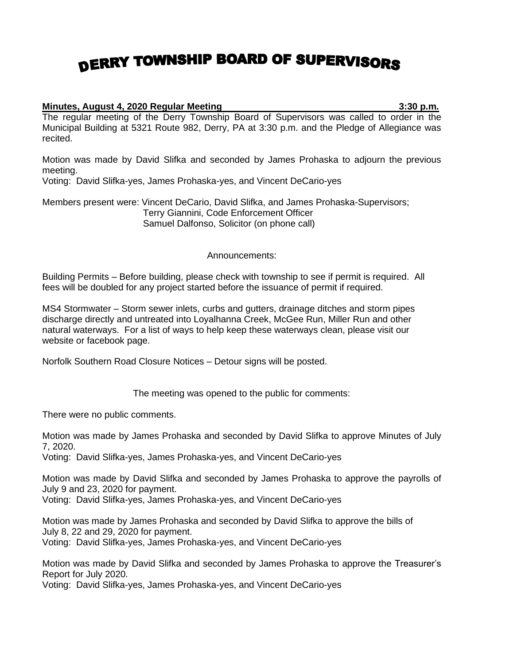## DERRY TOWNSHIP BOARD OF SUPERVISORS

## **Minutes, August 4, 2020 Regular Meeting 3:30 p.m.**

The regular meeting of the Derry Township Board of Supervisors was called to order in the Municipal Building at 5321 Route 982, Derry, PA at 3:30 p.m. and the Pledge of Allegiance was recited.

Motion was made by David Slifka and seconded by James Prohaska to adjourn the previous meeting.

Voting: David Slifka-yes, James Prohaska-yes, and Vincent DeCario-yes

Members present were: Vincent DeCario, David Slifka, and James Prohaska-Supervisors; Terry Giannini, Code Enforcement Officer Samuel Dalfonso, Solicitor (on phone call)

## Announcements:

Building Permits – Before building, please check with township to see if permit is required. All fees will be doubled for any project started before the issuance of permit if required.

MS4 Stormwater – Storm sewer inlets, curbs and gutters, drainage ditches and storm pipes discharge directly and untreated into Loyalhanna Creek, McGee Run, Miller Run and other natural waterways. For a list of ways to help keep these waterways clean, please visit our website or facebook page.

Norfolk Southern Road Closure Notices – Detour signs will be posted.

The meeting was opened to the public for comments:

There were no public comments.

Motion was made by James Prohaska and seconded by David Slifka to approve Minutes of July 7, 2020.

Voting: David Slifka-yes, James Prohaska-yes, and Vincent DeCario-yes

Motion was made by David Slifka and seconded by James Prohaska to approve the payrolls of July 9 and 23, 2020 for payment.

Voting: David Slifka-yes, James Prohaska-yes, and Vincent DeCario-yes

Motion was made by James Prohaska and seconded by David Slifka to approve the bills of July 8, 22 and 29, 2020 for payment. Voting: David Slifka-yes, James Prohaska-yes, and Vincent DeCario-yes

Motion was made by David Slifka and seconded by James Prohaska to approve the Treasurer's Report for July 2020.

Voting: David Slifka-yes, James Prohaska-yes, and Vincent DeCario-yes